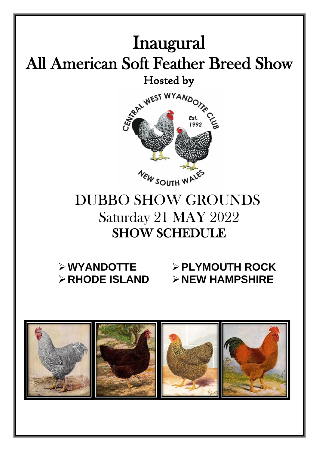

# ➢**WYANDOTTE** ➢**PLYMOUTH ROCK** ➢**RHODE ISLAND** ➢**NEW HAMPSHIRE**

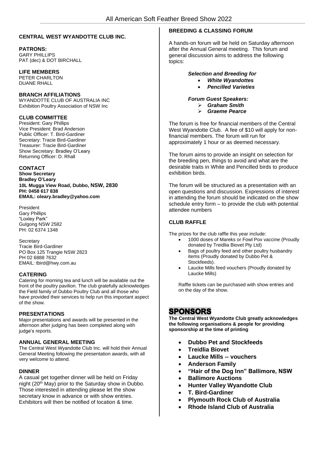#### **CENTRAL WEST WYANDOTTE CLUB INC.**

#### **PATRONS:**

GARY PHILLIPS PAT (dec) & DOT BIRCHALL

#### **LIFE MEMBERS**

PETER CHARLTON DUANE RHALL

#### **BRANCH AFFILIATIONS**

WYANDOTTE CLUB OF AUSTRALIA INC Exhibition Poultry Association of NSW Inc

#### **CLUB COMMITTEE**

President: Gary Phillips Vice President: Brad Anderson Public Officer: T. Bird-Gardiner Secretary: Tracie Bird-Gardiner Treasurer: Tracie Bird-Gardiner Show Secretary: Bradley O'Leary Returning Officer: D. Rhall

#### **CONTACT**

**Show Secretary Bradley O'Leary 10L Mugga View Road, Dubbo, NSW, 2830 PH: 0458 617 838 EMAIL: oleary.bradley@yahoo.com**

President Gary Phillips "Loxley Park" Gulgong NSW 2582 PH: 02 6374 1348

**Secretary** Tracie Bird-Gardiner PO Box 125 Trangie NSW 2823 PH 02 6888 7632 EMAIL: tbird@hwy.com.au

#### **CATERING**

Catering for morning tea and lunch will be available out the front of the poultry pavilion. The club gratefully acknowledges the Field family of Dubbo Poultry Club and all those who have provided their services to help run this important aspect of the show.

#### **PRESENTATIONS**

Major presentations and awards will be presented in the afternoon after judging has been completed along with judge's reports.

#### **ANNUAL GENERAL MEETING**

The Central West Wyandotte Club Inc. will hold their Annual General Meeting following the presentation awards, with all very welcome to attend.

#### **DINNER**

A casual get together dinner will be held on Friday night (20<sup>th</sup> May) prior to the Saturday show in Dubbo. Those interested in attending please let the show secretary know in advance or with show entries. Exhibitors will then be notified of location & time.

#### **BREEDING & CLASSING FORUM**

A hands-on forum will be held on Saturday afternoon after the Annual General meeting. This forum and general discussion aims to address the following topics:

#### *Selection and Breeding for*

- *White Wyandottes*
- *Pencilled Varieties*

*Forum Guest Speakers:*

- ➢ *Graham Smith*
- ➢ *Graeme Pearce*

The forum is free for financial members of the Central West Wyandotte Club. A fee of \$10 will apply for nonfinancial members. The forum will run for approximately 1 hour or as deemed necessary.

The forum aims to provide an insight on selection for the breeding pen, things to avoid and what are the desirable traits in White and Pencilled birds to produce exhibition birds.

The forum will be structured as a presentation with an open questions and discussion. Expressions of interest in attending the forum should be indicated on the show schedule entry form – to provide the club with potential attendee numbers

#### **CLUB RAFFLE**

The prizes for the club raffle this year include:

- 1000 doses of Mareks or Fowl Pox vaccine (Proudly donated by Treidlia Biovet Pty Ltd)
- Bags of poultry feed and other poultry husbandry items (Proudly donated by Dubbo Pet & Stockfeeds).
- Laucke Mills feed vouchers (Proudly donated by Laucke Mills)

Raffle tickets can be purchased with show entries and on the day of the show.

### **SPONSORS**

**The Central West Wyandotte Club greatly acknowledges the following organisations & people for providing sponsorship at the time of printing** 

- **Dubbo Pet and Stockfeeds**
- **Treidlia Biovet**
- **Laucke Mills -- vouchers**
- **Anderson Family**
- **"Hair of the Dog Inn" Ballimore, NSW**
- **Ballimore Auctions**
- **Hunter Valley Wyandotte Club**
- **T. Bird-Gardiner**
- **Plymouth Rock Club of Australia**
- **Rhode Island Club of Australia**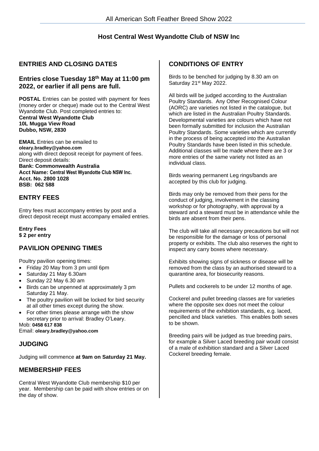### **Host Central West Wyandotte Club of NSW Inc**

### **ENTRIES AND CLOSING DATES**

#### **Entries close Tuesday 18 th May at 11:00 pm 2022, or earlier if all pens are full.**

**POSTAL** Entries can be posted with payment for fees (money order or cheque) made out to the Central West Wyandotte Club. Post completed entries to: **Central West Wyandotte Club 10L Mugga View Road Dubbo, NSW, 2830**

**EMAIL** Entries can be emailed to **oleary.bradley@yahoo.com** along with direct deposit receipt for payment of fees. Direct deposit details: **Bank: Commonwealth Australia Acct Name: Central West Wyandotte Club NSW Inc. Acct. No. 2800 1028 BSB: 062 588**

### **ENTRY FEES**

Entry fees must accompany entries by post and a direct deposit receipt must accompany emailed entries.

**Entry Fees \$ 2 per entry**

### **PAVILION OPENING TIMES**

Poultry pavilion opening times:

- Friday 20 May from 3 pm until 6pm
- Saturday 21 May 6.30am
- Sunday 22 May 6.30 am
- Birds can be unpenned at approximately 3 pm Saturday 21 May.
- The poultry pavilion will be locked for bird security at all other times except during the show.
- For other times please arrange with the show secretary prior to arrival: Bradley O'Leary.

Mob: **0458 617 838** Email: **oleary.bradley@yahoo.com**

### **JUDGING**

Judging will commence **at 9am on Saturday 21 May.**

### **MEMBERSHIP FEES**

Central West Wyandotte Club membership \$10 per year. Membership can be paid with show entries or on the day of show.

#### **CONDITIONS OF ENTRY**

Birds to be benched for judging by 8.30 am on Saturday 21<sup>st</sup> May 2022.

All birds will be judged according to the Australian Poultry Standards. Any Other Recognised Colour (AORC) are varieties not listed in the catalogue, but which are listed in the Australian Poultry Standards. Developmental varieties are colours which have not been formally submitted for inclusion the Australian Poultry Standards. Some varieties which are currently in the process of being accepted into the Australian Poultry Standards have been listed in this schedule. Additional classes will be made where there are 3 or more entries of the same variety not listed as an individual class.

Birds wearing permanent Leg rings/bands are accepted by this club for judging.

Birds may only be removed from their pens for the conduct of judging, involvement in the classing workshop or for photography, with approval by a steward and a steward must be in attendance while the birds are absent from their pens.

The club will take all necessary precautions but will not be responsible for the damage or loss of personal property or exhibits. The club also reserves the right to inspect any carry boxes where necessary.

Exhibits showing signs of sickness or disease will be removed from the class by an authorised steward to a quarantine area, for biosecurity reasons.

Pullets and cockerels to be under 12 months of age.

Cockerel and pullet breeding classes are for varieties where the opposite sex does not meet the colour requirements of the exhibition standards, e.g. laced, pencilled and black varieties. This enables both sexes to be shown.

Breeding pairs will be judged as true breeding pairs, for example a Silver Laced breeding pair would consist of a male of exhibition standard and a Silver Laced Cockerel breeding female.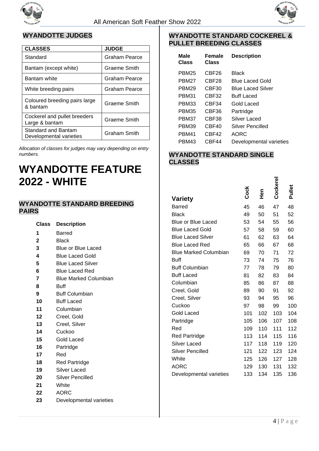



### **WYANDOTTE JUDGES**

| <b>CLASSES</b>                                 | <b>JUDGE</b>        |
|------------------------------------------------|---------------------|
| Standard                                       | Graham Pearce       |
| Bantam (except white)                          | Graeme Smith        |
| Bantam white                                   | Graham Pearce       |
| White breeding pairs                           | Graham Pearce       |
| Coloured breeding pairs large<br>& bantam      | Graeme Smith        |
| Cockerel and pullet breeders<br>Large & bantam | Graeme Smith        |
| Standard and Bantam<br>Developmental varieties | <b>Graham Smith</b> |

*Allocation of classes for judges may vary depending on entry numbers.*

## **WYANDOTTE FEATURE 2022 - WHITE**

#### **WYANDOTTE STANDARD BREEDING PAIRS**

| Class           | <b>Description</b>           |  |
|-----------------|------------------------------|--|
| 1               | Barred                       |  |
| $\mathbf{2}$    | <b>Black</b>                 |  |
| 3               | Blue or Blue Laced           |  |
| 4               | <b>Blue Laced Gold</b>       |  |
| 5               | <b>Blue Laced Silver</b>     |  |
| 6               | <b>Blue Laced Red</b>        |  |
| 7               | <b>Blue Marked Columbian</b> |  |
| 8               | <b>Buff</b>                  |  |
| 9               | <b>Buff Columbian</b>        |  |
| 10              | <b>Buff Laced</b>            |  |
| 11              | Columbian                    |  |
| 12 <sup>1</sup> | Creel, Gold                  |  |
| 13              | Creel, Silver                |  |
| 14              | Cuckoo                       |  |
| 15              | Gold Laced                   |  |
| 16              | Partridge                    |  |
| 17              | Red                          |  |
| 18              | <b>Red Partridge</b>         |  |
| 19              | Silver Laced                 |  |
| 20              | <b>Silver Pencilled</b>      |  |
| 21              | White                        |  |
| っっ              | ∧∩d∩                         |  |

#### **22** AORC

**23** Developmental varieties

#### **WYANDOTTE STANDARD COCKEREL & PULLET BREEDING CLASSES**

| Male<br>Class     | Female<br>Class | <b>Description</b>       |
|-------------------|-----------------|--------------------------|
| <b>PBM25</b>      | CBF26           | Black                    |
| PBM27             | CBF28           | Blue Laced Gold          |
| PBM <sub>29</sub> | CBF30           | <b>Blue Laced Silver</b> |
| <b>PBM31</b>      | CBF32           | <b>Buff Laced</b>        |
| <b>PBM33</b>      | CBF34           | Gold Laced               |
| <b>PBM35</b>      | CBF36           | Partridge                |
| PBM37             | CBF38           | Silver Laced             |
| <b>PBM39</b>      | CBF40           | Silver Pencilled         |
| PRM41             | CBF42           | AORC                     |
| PBM43             | CBF44           | Developmental varieties  |

### **WYANDOTTE STANDARD SINGLE CLASSES**

|     |             |            | Pullet   |
|-----|-------------|------------|----------|
|     |             |            |          |
| 45  | 46          | 47         | 48       |
| 49  | 50          | 51         | 52       |
| 53  | 54          | 55         | 56       |
| 57  | 58          | 59         | 60       |
| 61  | 62          | 63         | 64       |
| 65  | 66          | 67         | 68       |
| 69  | 70          | 71         | 72       |
| 73  | 74          | 75         | 76       |
| 77  | 78          | 79         | 80       |
| 81  | 82          | 83         | 84       |
| 85  | 86          | 87         | 88       |
| 89  | 90          | 91         | 92       |
| 93  | 94          | 95         | 96       |
| 97  | 98          | 99         | 100      |
| 101 | 102         | 103        | 104      |
| 105 | 106         | 107        | 108      |
| 109 | 110         | 111        | 112      |
| 113 | 114         | 115        | 116      |
| 117 | 118         | 119        | 120      |
| 121 | 122         | 123        | 124      |
| 125 | 126         | 127        | 128      |
| 129 | 130         | 131        | 132      |
| 133 | 134         | 135        | 136      |
|     | <b>Cock</b> | <b>Hen</b> | Cockerel |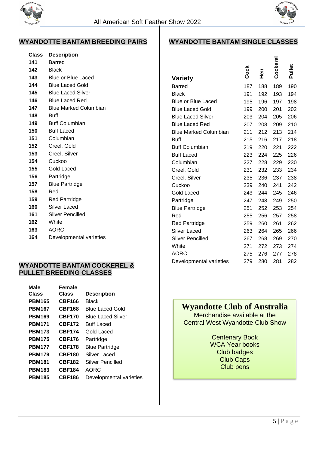



### **WYANDOTTE BANTAM BREEDING PAIRS**

| Class | <b>Description</b>           |
|-------|------------------------------|
| 141   | Barred                       |
| 142   | Black                        |
| 143   | <b>Blue or Blue Laced</b>    |
| 144   | <b>Blue Laced Gold</b>       |
| 145   | <b>Blue Laced Silver</b>     |
| 146   | <b>Blue Laced Red</b>        |
| 147   | <b>Blue Marked Columbian</b> |
| 148   | Buff                         |
| 149   | <b>Buff Columbian</b>        |
| 150   | <b>Buff Laced</b>            |
| 151   | Columbian                    |
| 152   | Creel, Gold                  |
| 153   | Creel, Silver                |
| 154   | Cuckoo                       |
| 155   | Gold Laced                   |
| 156   | Partridge                    |
| 157   | <b>Blue Partridge</b>        |
| 158   | Red                          |
| 159   | <b>Red Partridge</b>         |
| 160   | Silver Laced                 |
| 161   | Silver Pencilled             |
| 162   | White                        |
| 163   | <b>AORC</b>                  |
| 164   | Developmental varieties      |

### **WYANDOTTE BANTAM COCKEREL & PULLET BREEDING CLASSES**

| Male          | Female        |                          |
|---------------|---------------|--------------------------|
| <b>Class</b>  | Class         | <b>Description</b>       |
| <b>PBM165</b> | <b>CBF166</b> | Black                    |
| <b>PBM167</b> | <b>CBF168</b> | <b>Blue Laced Gold</b>   |
| <b>PBM169</b> | <b>CBF170</b> | <b>Blue Laced Silver</b> |
| <b>PBM171</b> | <b>CBF172</b> | <b>Buff Laced</b>        |
| <b>PBM173</b> | <b>CBF174</b> | Gold Laced               |
| <b>PBM175</b> | <b>CBF176</b> | Partridge                |
| <b>PBM177</b> | <b>CBF178</b> | <b>Blue Partridge</b>    |
| <b>PBM179</b> | <b>CBF180</b> | Silver Laced             |
| <b>PBM181</b> | <b>CBF182</b> | Silver Pencilled         |
| <b>PBM183</b> | <b>CBF184</b> | AORC                     |
| <b>PBM185</b> | <b>CBF186</b> | Developmental varieties  |

### **WYANDOTTE BANTAM SINGLE CLASSES**

|                              | Cock | 이<br>도 | Cockere | Pullet |
|------------------------------|------|--------|---------|--------|
| Variety                      |      |        |         |        |
| Barred                       | 187  | 188    | 189     | 190    |
| Black                        | 191  | 192    | 193     | 194    |
| <b>Blue or Blue Laced</b>    | 195  | 196    | 197     | 198    |
| <b>Blue Laced Gold</b>       | 199  | 200    | 201     | 202    |
| <b>Blue Laced Silver</b>     | 203  | 204    | 205     | 206    |
| <b>Blue Laced Red</b>        | 207  | 208    | 209     | 210    |
| <b>Blue Marked Columbian</b> | 211  | 212    | 213     | 214    |
| <b>Buff</b>                  | 215  | 216    | 217     | 218    |
| <b>Buff Columbian</b>        | 219  | 220    | 221     | 222    |
| <b>Buff Laced</b>            | 223  | 224    | 225     | 226    |
| Columbian                    | 227  | 228    | 229     | 230    |
| Creel, Gold                  | 231  | 232    | 233     | 234    |
| Creel, Silver                | 235  | 236    | 237     | 238    |
| Cuckoo                       | 239  | 240    | 241     | 242    |
| Gold Laced                   | 243  | 244    | 245     | 246    |
| Partridge                    | 247  | 248    | 249     | 250    |
| <b>Blue Partridge</b>        | 251  | 252    | 253     | 254    |
| Red                          | 255  | 256    | 257     | 258    |
| <b>Red Partridge</b>         | 259  | 260    | 261     | 262    |
| Silver Laced                 | 263  | 264    | 265     | 266    |
| Silver Pencilled             | 267  | 268    | 269     | 270    |
| White                        | 271  | 272    | 273     | 274    |
| <b>AORC</b>                  | 275  | 276    | 277     | 278    |
| Developmental varieties      | 279  | 280    | 281     | 282    |
|                              |      |        |         |        |

## **Wyandotte Club of Australia**

Merchandise available at the Central West Wyandotte Club Show

> Centenary Book WCA Year books Club badges Club Caps Club pens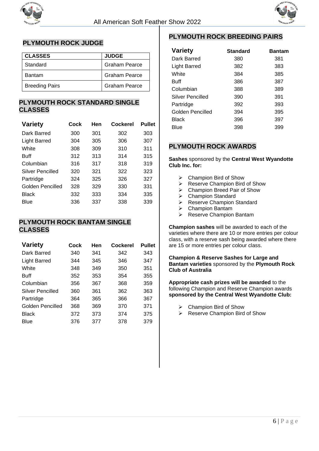



### **PLYMOUTH ROCK JUDGE**

| <b>CLASSES</b>        | <b>JUDGE</b>         |
|-----------------------|----------------------|
| Standard              | <b>Graham Pearce</b> |
| <b>Bantam</b>         | <b>Graham Pearce</b> |
| <b>Breeding Pairs</b> | <b>Graham Pearce</b> |

### **PLYMOUTH ROCK STANDARD SINGLE CLASSES**

| <b>Variety</b>          | Cock | Hen | Cockerel | Pullet |
|-------------------------|------|-----|----------|--------|
| Dark Barred             | 300  | 301 | 302      | 303    |
| <b>Light Barred</b>     | 304  | 305 | 306      | 307    |
| White                   | 308  | 309 | 310      | 311    |
| Buff                    | 312  | 313 | 314      | 315    |
| Columbian               | 316  | 317 | 318      | 319    |
| <b>Silver Pencilled</b> | 320  | 321 | 322      | 323    |
| Partridge               | 324  | 325 | 326      | 327    |
| Golden Pencilled        | 328  | 329 | 330      | 331    |
| <b>Black</b>            | 332  | 333 | 334      | 335    |
| <b>Blue</b>             | 336  | 337 | 338      | 339    |

### **PLYMOUTH ROCK BANTAM SINGLE CLASSES**

| <b>Variety</b>      | Cock | Hen | Cockerel | <b>Pullet</b> |
|---------------------|------|-----|----------|---------------|
| Dark Barred         | 340  | 341 | 342      | 343           |
| <b>Light Barred</b> | 344  | 345 | 346      | 347           |
| White               | 348  | 349 | 350      | 351           |
| Buff                | 352  | 353 | 354      | 355           |
| Columbian           | 356  | 367 | 368      | 359           |
| Silver Pencilled    | 360  | 361 | 362      | 363           |
| Partridge           | 364  | 365 | 366      | 367           |
| Golden Pencilled    | 368  | 369 | 370      | 371           |
| Black               | 372  | 373 | 374      | 375           |
| Blue                | 376  | 377 | 378      | 379           |

### **PLYMOUTH ROCK BREEDING PAIRS**

| <b>Variety</b>      | <b>Standard</b> | <b>Bantam</b> |
|---------------------|-----------------|---------------|
| Dark Barred         | 380             | 381           |
| <b>Light Barred</b> | 382             | 383           |
| White               | 384             | 385           |
| <b>Buff</b>         | 386             | 387           |
| Columbian           | 388             | 389           |
| Silver Pencilled    | 390             | 391           |
| Partridge           | 392             | 393           |
| Golden Pencilled    | 394             | 395           |
| Black               | 396             | 397           |
| Blue                | 398             | 399           |

### **PLYMOUTH ROCK AWARDS**

**Sashes** sponsored by the **Central West Wyandotte Club Inc. for:**

- ➢ Champion Bird of Show
- ➢ Reserve Champion Bird of Show
- ➢ Champion Breed Pair of Show
- ➢ Champion Standard
- ➢ Reserve Champion Standard
- ➢ Champion Bantam
- ➢ Reserve Champion Bantam

**Champion sashes** will be awarded to each of the varieties where there are 10 or more entries per colour class, with a reserve sash being awarded where there are 15 or more entries per colour class.

**Champion & Reserve Sashes for Large and Bantam varieties** sponsored by the **Plymouth Rock Club of Australia**

**Appropriate cash prizes will be awarded** to the following Champion and Reserve Champion awards **sponsored by the Central West Wyandotte Club:** 

- ➢ Champion Bird of Show
- ➢ Reserve Champion Bird of Show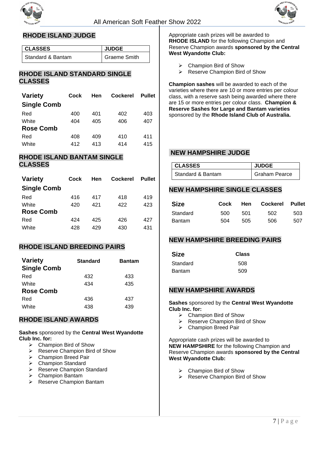



### **RHODE ISLAND JUDGE**

| l CLASSES           | <b>JUDGE</b>        |
|---------------------|---------------------|
| l Standard & Bantam | <b>Graeme Smith</b> |

#### **RHODE ISLAND STANDARD SINGLE CLASSES**

| <b>Variety</b>     | Cock | Hen | <b>Cockerel</b> | <b>Pullet</b> |  |
|--------------------|------|-----|-----------------|---------------|--|
| <b>Single Comb</b> |      |     |                 |               |  |
| Red                | 400  | 401 | 402             | 403           |  |
| White              | 404  | 405 | 406             | 407           |  |
| <b>Rose Comb</b>   |      |     |                 |               |  |
| Red                | 408  | 409 | 410             | 411           |  |
| White              | 412  | 413 | 414             | 415           |  |
|                    |      |     |                 |               |  |

#### **RHODE ISLAND BANTAM SINGLE CLASSES**

| <b>Variety</b>     | Cock | Hen | <b>Cockerel</b> | <b>Pullet</b> |
|--------------------|------|-----|-----------------|---------------|
| <b>Single Comb</b> |      |     |                 |               |
| Red                | 416  | 417 | 418             | 419           |
| White              | 420  | 421 | 422             | 423           |
| <b>Rose Comb</b>   |      |     |                 |               |
| Red                | 424  | 425 | 426             | 427           |
| White              | 428  | 429 | 430             | 431           |

### **RHODE ISLAND BREEDING PAIRS**

| <b>Variety</b><br><b>Single Comb</b> | <b>Standard</b> | <b>Bantam</b> |
|--------------------------------------|-----------------|---------------|
| Red                                  | 432             | 433           |
| White                                | 434             | 435           |
| <b>Rose Comb</b>                     |                 |               |
| Red                                  | 436             | 437           |
| White                                | 438             | 439           |

### **RHODE ISLAND AWARDS**

**Sashes** sponsored by the **Central West Wyandotte Club Inc. for:**

- ➢ Champion Bird of Show
- ➢ Reserve Champion Bird of Show
- ➢ Champion Breed Pair
- $\triangleright$  Champion Standard
- ➢ Reserve Champion Standard
- ➢ Champion Bantam
- ➢ Reserve Champion Bantam

Appropriate cash prizes will be awarded to **RHODE ISLAND** for the following Champion and Reserve Champion awards **sponsored by the Central West Wyandotte Club:** 

- $\triangleright$  Champion Bird of Show
- ➢ Reserve Champion Bird of Show

**Champion sashes** will be awarded to each of the varieties where there are 10 or more entries per colour class, with a reserve sash being awarded where there are 15 or more entries per colour class. **Champion & Reserve Sashes for Large and Bantam varieties**  sponsored by the **Rhode Island Club of Australia.**

#### **NEW HAMPSHIRE JUDGE**

| <b>CLASSES</b>      | <b>JUDGE</b>         |
|---------------------|----------------------|
| I Standard & Bantam | <b>Graham Pearce</b> |

#### **NEW HAMPSHIRE SINGLE CLASSES**

| <b>Size</b>   | Cock |     | Hen Cockerel Pullet |     |
|---------------|------|-----|---------------------|-----|
| Standard      | 500  | 501 | 502                 | 503 |
| <b>Bantam</b> | 504  | 505 | 506                 | 507 |

#### **NEW HAMPSHIRE BREEDING PAIRS**

| <b>Size</b> | <b>Class</b> |  |  |
|-------------|--------------|--|--|
| Standard    | 508          |  |  |
| Bantam      | 509          |  |  |

#### **NEW HAMPSHIRE AWARDS**

**Sashes** sponsored by the **Central West Wyandotte Club Inc. for:**

- $\triangleright$  Champion Bird of Show
- ➢ Reserve Champion Bird of Show
- ➢ Champion Breed Pair

Appropriate cash prizes will be awarded to **NEW HAMPSHIRE** for the following Champion and Reserve Champion awards **sponsored by the Central West Wyandotte Club:** 

- ➢ Champion Bird of Show
- ➢ Reserve Champion Bird of Show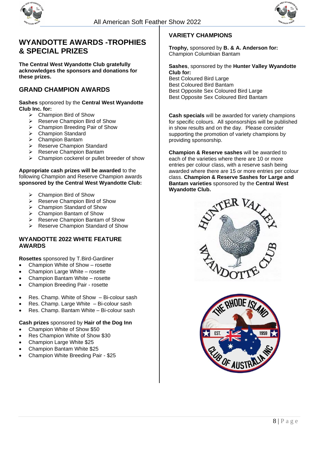



### **WYANDOTTE AWARDS -TROPHIES & SPECIAL PRIZES**

**The Central West Wyandotte Club gratefully acknowledges the sponsors and donations for these prizes.**

### **GRAND CHAMPION AWARDS**

**Sashes** sponsored by the **Central West Wyandotte Club Inc. for:**

- ➢ Champion Bird of Show
- ➢ Reserve Champion Bird of Show
- ➢ Champion Breeding Pair of Show
- ➢ Champion Standard
- $\triangleright$  Champion Bantam
- ➢ Reserve Champion Standard
- ➢ Reserve Champion Bantam
- ➢ Champion cockerel or pullet breeder of show

**Appropriate cash prizes will be awarded** to the following Champion and Reserve Champion awards **sponsored by the Central West Wyandotte Club:** 

- ➢ Champion Bird of Show
- ➢ Reserve Champion Bird of Show
- ➢ Champion Standard of Show
- ➢ Champion Bantam of Show
- ➢ Reserve Champion Bantam of Show
- ➢ Reserve Champion Standard of Show

#### **WYANDOTTE 2022 WHITE FEATURE AWARDS**

**Rosettes** sponsored by T.Bird-Gardiner

- Champion White of Show rosette
- Champion Large White rosette
- Champion Bantam White rosette
- Champion Breeding Pair rosette
- Res. Champ. White of Show Bi-colour sash
- Res. Champ. Large White Bi-colour sash
- Res. Champ. Bantam White Bi-colour sash

#### **Cash prizes** sponsored by **Hair of the Dog Inn**

- Champion White of Show \$50
- Res Champion White of Show \$30
- Champion Large White \$25
- Champion Bantam White \$25
- Champion White Breeding Pair \$25

#### **VARIETY CHAMPIONS**

**Trophy,** sponsored by **B. & A. Anderson for:** Champion Columbian Bantam

**Sashes**, sponsored by the **Hunter Valley Wyandotte Club for:** Best Coloured Bird Large Best Coloured Bird Bantam

Best Opposite Sex Coloured Bird Large Best Opposite Sex Coloured Bird Bantam

**Cash specials** will be awarded for variety champions for specific colours. All sponsorships will be published in show results and on the day. Please consider supporting the promotion of variety champions by providing sponsorship.

**Champion & Reserve sashes** will be awarded to each of the varieties where there are 10 or more entries per colour class, with a reserve sash being awarded where there are 15 or more entries per colour class. **Champion & Reserve Sashes for Large and Bantam varieties** sponsored by the **Central West Wyandotte Club.**



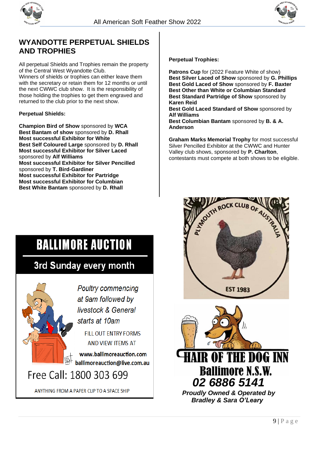



## **WYANDOTTE PERPETUAL SHIELDS AND TROPHIES**

All perpetual Shields and Trophies remain the property of the Central West Wyandotte Club. Winners of shields or trophies can either leave them with the secretary or retain them for 12 months or until the next CWWC club show. It is the responsibility of those holding the trophies to get them engraved and returned to the club prior to the next show.

#### **Perpetual Shields:**

**Champion Bird of Show** sponsored by **WCA Best Bantam of show** sponsored by **D. Rhall Most successful Exhibitor for White Best Self Coloured Large** sponsored by **D. Rhall Most successful Exhibitor for Silver Laced**  sponsored by **Alf Williams Most successful Exhibitor for Silver Pencilled**  sponsored by **T. Bird-Gardiner Most successful Exhibitor for Partridge Most successful Exhibitor for Columbian Best White Bantam** sponsored by **D. Rhall**

#### **Perpetual Trophies:**

**Patrons Cup** for (2022 Feature White of show) **Best Silver Laced of Show** sponsored by **G. Phillips Best Gold Laced of Show** sponsored by **F. Baxter Best Other than White or Columbian Standard Best Standard Partridge of Show** sponsored by **Karen Reid**

**Best Gold Laced Standard of Show** sponsored by **Alf Williams**

**Best Columbian Bantam** sponsored by **B. & A. Anderson**

**Graham Marks Memorial Trophy** for most successful Silver Pencilled Exhibitor at the CWWC and Hunter Valley club shows, sponsored by **P. Charlton**, contestants must compete at both shows to be eligible.

# **BALLIMORE AUCTION**

## 3rd Sunday every month



ANYTHING FROM A PAPER CLIP TO A SPACE SHIP



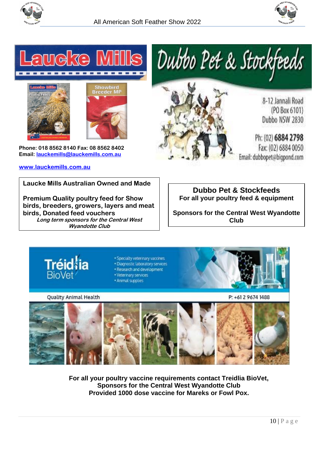







**Phone: 018 8562 8140 Fax: 08 8562 8402 Email: [lauckemills@lauckemills.com.au](mailto:lauckemills@lauckemills.com.au)**

#### **[www.lauckemills.com.au](http://www.lauckemills.com.au/)**



8-12 Jannali Road (PO Box 6101) Dubbo NSW 2830

Ph: (02) 6884 2798 Fax: (02) 6884 0050 Email: dubbopet@bigpond.com

**Laucke Mills Australian Owned and Made** 

**Premium Quality poultry feed for Show birds, breeders, growers, layers and meat birds, Donated feed vouchers Long term sponsors for the Central West Wyandotte Club**

**Dubbo Pet & Stockfeeds For all your poultry feed & equipment**

**Sponsors for the Central West Wyandotte Club**



**Quality Animal Health** 

P: +61 2 9674 1488



**For all your poultry vaccine requirements contact Treidlia BioVet, Sponsors for the Central West Wyandotte Club Provided 1000 dose vaccine for Mareks or Fowl Pox.**